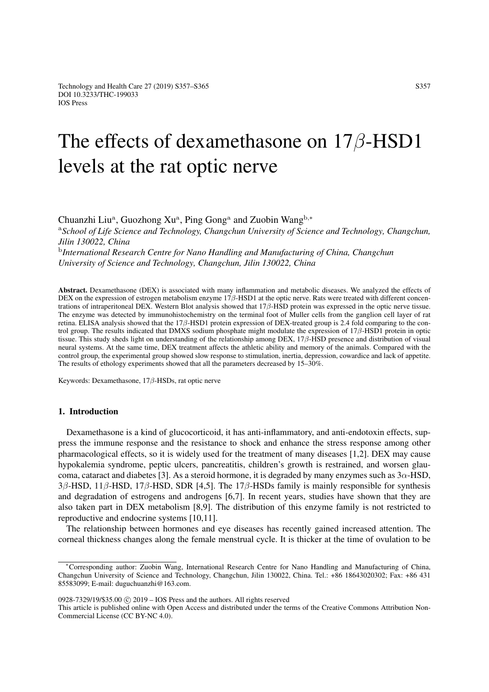# The effects of dexamethasone on 17β-HSD1 levels at the rat optic nerve

Chuanzhi Liu<sup>a</sup>, Guozhong Xu<sup>a</sup>, Ping Gong<sup>a</sup> and Zuobin Wang<sup>b,\*</sup>

<sup>a</sup>*School of Life Science and Technology, Changchun University of Science and Technology, Changchun, Jilin 130022, China*

b *International Research Centre for Nano Handling and Manufacturing of China, Changchun University of Science and Technology, Changchun, Jilin 130022, China*

Abstract. Dexamethasone (DEX) is associated with many inflammation and metabolic diseases. We analyzed the effects of DEX on the expression of estrogen metabolism enzyme  $17\beta$ -HSD1 at the optic nerve. Rats were treated with different concentrations of intraperitoneal DEX. Western Blot analysis showed that 17β-HSD protein was expressed in the optic nerve tissue. The enzyme was detected by immunohistochemistry on the terminal foot of Muller cells from the ganglion cell layer of rat retina. ELISA analysis showed that the 17β-HSD1 protein expression of DEX-treated group is 2.4 fold comparing to the control group. The results indicated that DMXS sodium phosphate might modulate the expression of  $17\beta$ -HSD1 protein in optic tissue. This study sheds light on understanding of the relationship among DEX, 17β-HSD presence and distribution of visual neural systems. At the same time, DEX treatment affects the athletic ability and memory of the animals. Compared with the control group, the experimental group showed slow response to stimulation, inertia, depression, cowardice and lack of appetite. The results of ethology experiments showed that all the parameters decreased by 15–30%.

Keywords: Dexamethasone, 17β-HSDs, rat optic nerve

# 1. Introduction

Dexamethasone is a kind of glucocorticoid, it has anti-inflammatory, and anti-endotoxin effects, suppress the immune response and the resistance to shock and enhance the stress response among other pharmacological effects, so it is widely used for the treatment of many diseases [\[1,](#page-7-0)[2\]](#page-7-1). DEX may cause hypokalemia syndrome, peptic ulcers, pancreatitis, children's growth is restrained, and worsen glau-coma, cataract and diabetes [\[3\]](#page-7-2). As a steroid hormone, it is degraded by many enzymes such as  $3\alpha$ -HSD,  $3\beta$ -HSD,  $11\beta$ -HSD,  $17\beta$ -HSD, SDR [\[4,](#page-7-3)[5\]](#page-7-4). The  $17\beta$ -HSDs family is mainly responsible for synthesis and degradation of estrogens and androgens [\[6](#page-7-5)[,7\]](#page-7-6). In recent years, studies have shown that they are also taken part in DEX metabolism [\[8](#page-7-7)[,9\]](#page-7-8). The distribution of this enzyme family is not restricted to reproductive and endocrine systems [\[10,](#page-7-9)[11\]](#page-7-10).

The relationship between hormones and eye diseases has recently gained increased attention. The corneal thickness changes along the female menstrual cycle. It is thicker at the time of ovulation to be

<sup>∗</sup>Corresponding author: Zuobin Wang, International Research Centre for Nano Handling and Manufacturing of China, Changchun University of Science and Technology, Changchun, Jilin 130022, China. Tel.: +86 18643020302; Fax: +86 431 85583099; E-mail: duguchuanzhi@163.com.

<sup>0928-7329/19/\$35.00</sup> c 2019 – IOS Press and the authors. All rights reserved

This article is published online with Open Access and distributed under the terms of the Creative Commons Attribution Non-Commercial License (CC BY-NC 4.0).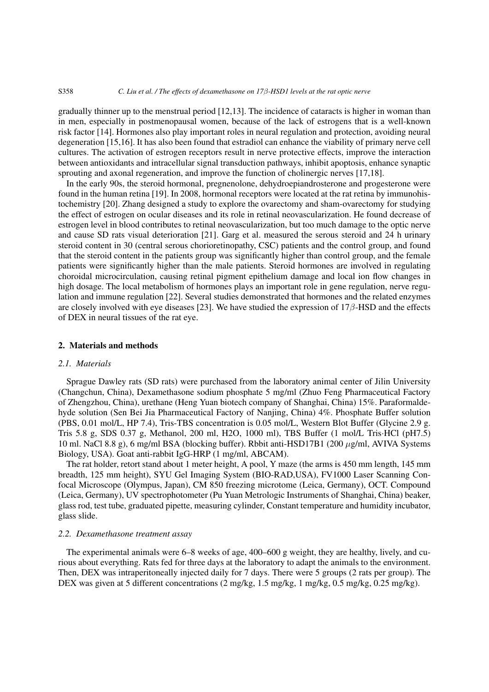#### S358 *C. Liu et al. / The effects of dexamethasone on 17*β*-HSD1 levels at the rat optic nerve*

gradually thinner up to the menstrual period [\[12,](#page-7-11)[13\]](#page-7-12). The incidence of cataracts is higher in woman than in men, especially in postmenopausal women, because of the lack of estrogens that is a well-known risk factor [\[14\]](#page-7-13). Hormones also play important roles in neural regulation and protection, avoiding neural degeneration [\[15](#page-7-14)[,16\]](#page-8-0). It has also been found that estradiol can enhance the viability of primary nerve cell cultures. The activation of estrogen receptors result in nerve protective effects, improve the interaction between antioxidants and intracellular signal transduction pathways, inhibit apoptosis, enhance synaptic sprouting and axonal regeneration, and improve the function of cholinergic nerves [\[17,](#page-8-1)[18\]](#page-8-2).

In the early 90s, the steroid hormonal, pregnenolone, dehydroepiandrosterone and progesterone were found in the human retina [\[19\]](#page-8-3). In 2008, hormonal receptors were located at the rat retina by immunohistochemistry [\[20\]](#page-8-4). Zhang designed a study to explore the ovarectomy and sham-ovarectomy for studying the effect of estrogen on ocular diseases and its role in retinal neovascularization. He found decrease of estrogen level in blood contributes to retinal neovascularization, but too much damage to the optic nerve and cause SD rats visual deterioration [\[21\]](#page-8-5). Garg et al. measured the serous steroid and 24 h urinary steroid content in 30 (central serous chorioretinopathy, CSC) patients and the control group, and found that the steroid content in the patients group was significantly higher than control group, and the female patients were significantly higher than the male patients. Steroid hormones are involved in regulating choroidal microcirculation, causing retinal pigment epithelium damage and local ion flow changes in high dosage. The local metabolism of hormones plays an important role in gene regulation, nerve regulation and immune regulation [\[22\]](#page-8-6). Several studies demonstrated that hormones and the related enzymes are closely involved with eye diseases [\[23\]](#page-8-7). We have studied the expression of  $17\beta$ -HSD and the effects of DEX in neural tissues of the rat eye.

# 2. Materials and methods

# *2.1. Materials*

Sprague Dawley rats (SD rats) were purchased from the laboratory animal center of Jilin University (Changchun, China), Dexamethasone sodium phosphate 5 mg/ml (Zhuo Feng Pharmaceutical Factory of Zhengzhou, China), urethane (Heng Yuan biotech company of Shanghai, China) 15%. Paraformaldehyde solution (Sen Bei Jia Pharmaceutical Factory of Nanjing, China) 4%. Phosphate Buffer solution (PBS, 0.01 mol/L, HP 7.4), Tris-TBS concentration is 0.05 mol/L, Western Blot Buffer (Glycine 2.9 g. Tris 5.8 g, SDS 0.37 g, Methanol, 200 ml, H2O, 1000 ml), TBS Buffer (1 mol/L Tris·HCl (pH7.5) 10 ml. NaCl 8.8 g), 6 mg/ml BSA (blocking buffer). Rbbit anti-HSD17B1 (200 µg/ml, AVIVA Systems Biology, USA). Goat anti-rabbit IgG-HRP (1 mg/ml, ABCAM).

The rat holder, retort stand about 1 meter height, A pool, Y maze (the arms is 450 mm length, 145 mm breadth, 125 mm height), SYU Gel Imaging System (BIO-RAD,USA), FV1000 Laser Scanning Confocal Microscope (Olympus, Japan), CM 850 freezing microtome (Leica, Germany), OCT. Compound (Leica, Germany), UV spectrophotometer (Pu Yuan Metrologic Instruments of Shanghai, China) beaker, glass rod, test tube, graduated pipette, measuring cylinder, Constant temperature and humidity incubator, glass slide.

# *2.2. Dexamethasone treatment assay*

The experimental animals were 6–8 weeks of age, 400–600 g weight, they are healthy, lively, and curious about everything. Rats fed for three days at the laboratory to adapt the animals to the environment. Then, DEX was intraperitoneally injected daily for 7 days. There were 5 groups (2 rats per group). The DEX was given at 5 different concentrations (2 mg/kg, 1.5 mg/kg, 1 mg/kg, 0.5 mg/kg, 0.25 mg/kg).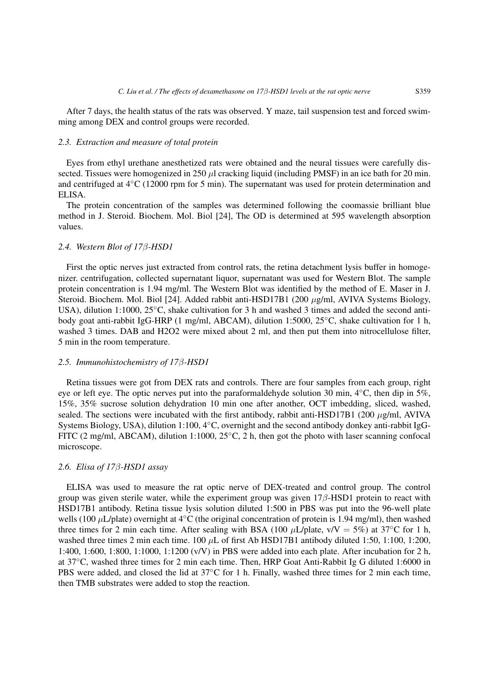After 7 days, the health status of the rats was observed. Y maze, tail suspension test and forced swimming among DEX and control groups were recorded.

# *2.3. Extraction and measure of total protein*

Eyes from ethyl urethane anesthetized rats were obtained and the neural tissues were carefully dissected. Tissues were homogenized in 250  $\mu$ l cracking liquid (including PMSF) in an ice bath for 20 min. and centrifuged at 4◦C (12000 rpm for 5 min). The supernatant was used for protein determination and ELISA.

The protein concentration of the samples was determined following the coomassie brilliant blue method in J. Steroid. Biochem. Mol. Biol [\[24\]](#page-8-8), The OD is determined at 595 wavelength absorption values.

# *2.4. Western Blot of 17*β*-HSD1*

First the optic nerves just extracted from control rats, the retina detachment lysis buffer in homogenizer. centrifugation, collected supernatant liquor, supernatant was used for Western Blot. The sample protein concentration is 1.94 mg/ml. The Western Blot was identified by the method of E. Maser in J. Steroid. Biochem. Mol. Biol [\[24\]](#page-8-8). Added rabbit anti-HSD17B1 (200 µg/ml, AVIVA Systems Biology, USA), dilution 1:1000, 25℃, shake cultivation for 3 h and washed 3 times and added the second antibody goat anti-rabbit IgG-HRP (1 mg/ml, ABCAM), dilution 1:5000, 25◦C, shake cultivation for 1 h, washed 3 times. DAB and H2O2 were mixed about 2 ml, and then put them into nitrocellulose filter, 5 min in the room temperature.

#### *2.5. Immunohistochemistry of 17*β*-HSD1*

Retina tissues were got from DEX rats and controls. There are four samples from each group, right eye or left eye. The optic nerves put into the paraformaldehyde solution 30 min, 4◦C, then dip in 5%, 15%, 35% sucrose solution dehydration 10 min one after another, OCT imbedding, sliced, washed, sealed. The sections were incubated with the first antibody, rabbit anti-HSD17B1 (200  $\mu$ g/ml, AVIVA Systems Biology, USA), dilution 1:100, 4◦C, overnight and the second antibody donkey anti-rabbit IgG-FITC (2 mg/ml, ABCAM), dilution 1:1000, 25◦C, 2 h, then got the photo with laser scanning confocal microscope.

# *2.6. Elisa of 17*β*-HSD1 assay*

ELISA was used to measure the rat optic nerve of DEX-treated and control group. The control group was given sterile water, while the experiment group was given  $17\beta$ -HSD1 protein to react with HSD17B1 antibody. Retina tissue lysis solution diluted 1:500 in PBS was put into the 96-well plate wells (100  $\mu$ L/plate) overnight at 4<sup>°</sup>C (the original concentration of protein is 1.94 mg/ml), then washed three times for 2 min each time. After sealing with BSA (100  $\mu$ L/plate, v/V = 5%) at 37°C for 1 h, washed three times 2 min each time.  $100 \mu L$  of first Ab HSD17B1 antibody diluted 1:50, 1:100, 1:200, 1:400, 1:600, 1:800, 1:1000, 1:1200 (v/V) in PBS were added into each plate. After incubation for 2 h, at 37◦C, washed three times for 2 min each time. Then, HRP Goat Anti-Rabbit Ig G diluted 1:6000 in PBS were added, and closed the lid at 37℃ for 1 h. Finally, washed three times for 2 min each time, then TMB substrates were added to stop the reaction.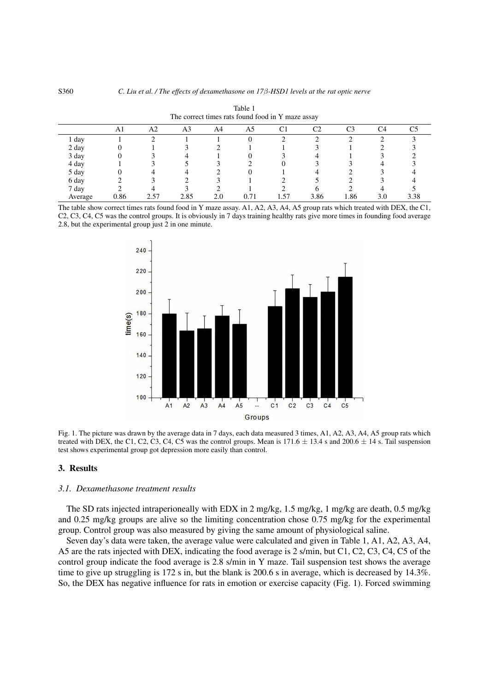<span id="page-3-0"></span>

| The correct times rats found food in Y maze assay |      |    |      |     |      |        |      |     |     |      |
|---------------------------------------------------|------|----|------|-----|------|--------|------|-----|-----|------|
|                                                   | A1   | A2 | A3   | A4  | A5   |        | C2   | CЗ  | C4  |      |
| ∡ day                                             |      |    |      |     |      |        |      |     |     |      |
| 2 day                                             |      |    |      |     |      |        |      |     |     |      |
| 3 day                                             |      |    |      |     |      |        |      |     |     |      |
| 4 day                                             |      |    |      |     |      |        |      |     |     |      |
| 5 day                                             |      |    |      |     |      |        |      |     |     |      |
| 6 day                                             |      |    |      |     |      |        |      |     |     |      |
| 7 day                                             |      |    |      |     |      |        |      |     |     |      |
| Average                                           | 0.86 |    | 2.85 | 2.0 | 0.71 | . . 57 | 3.86 | .86 | 3.0 | 3.38 |

Table 1

The table show correct times rats found food in Y maze assay. A1, A2, A3, A4, A5 group rats which treated with DEX, the C1, C2, C3, C4, C5 was the control groups. It is obviously in 7 days training healthy rats give more times in founding food average 2.8, but the experimental group just  $2$  in one minute.



<span id="page-3-1"></span>Fig. 1. The picture was drawn by the average data in 7 days, each data measured 3 times, A1, A2, A3, A4, A5 group rats which treated with DEX, the C1, C2, C3, C4, C5 was the control groups. Mean is  $171.6 \pm 13.4$  s and  $200.6 \pm 14$  s. Tail suspension test shows experimental group got depression more easily than control.

## 3. Results

# *3.1. Dexamethasone treatment results*

The SD rats injected intraperioneally with EDX in 2 mg/kg, 1.5 mg/kg, 1 mg/kg are death, 0.5 mg/kg and 0.25 mg/kg groups are alive so the limiting concentration chose 0.75 mg/kg for the experimental group. Control group was also measured by giving the same amount of physiological saline.

Seven day's data were taken, the average value were calculated and given in Table [1,](#page-3-0) A1, A2, A3, A4, A5 are the rats injected with DEX, indicating the food average is 2 s/min, but C1, C2, C3, C4, C5 of the control group indicate the food average is 2.8 s/min in Y maze. Tail suspension test shows the average time to give up struggling is 172 s in, but the blank is 200.6 s in average, which is decreased by 14.3%. So, the DEX has negative influence for rats in emotion or exercise capacity (Fig. [1\)](#page-3-1). Forced swimming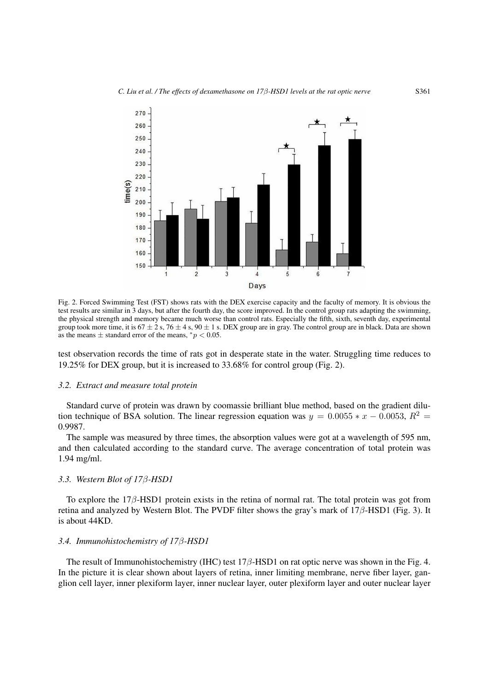

<span id="page-4-0"></span>Fig. 2. Forced Swimming Test (FST) shows rats with the DEX exercise capacity and the faculty of memory. It is obvious the test results are similar in 3 days, but after the fourth day, the score improved. In the control group rats adapting the swimming, the physical strength and memory became much worse than control rats. Especially the fifth, sixth, seventh day, experimental group took more time, it is  $67 \pm 2$  s,  $76 \pm 4$  s,  $90 \pm 1$  s. DEX group are in gray. The control group are in black. Data are shown as the means  $\pm$  standard error of the means,  $\degree p < 0.05$ .

test observation records the time of rats got in desperate state in the water. Struggling time reduces to 19.25% for DEX group, but it is increased to 33.68% for control group (Fig. [2\)](#page-4-0).

## *3.2. Extract and measure total protein*

Standard curve of protein was drawn by coomassie brilliant blue method, based on the gradient dilution technique of BSA solution. The linear regression equation was  $y = 0.0055 * x - 0.0053$ ,  $R^2 =$ 0.9987.

The sample was measured by three times, the absorption values were got at a wavelength of 595 nm, and then calculated according to the standard curve. The average concentration of total protein was 1.94 mg/ml.

#### *3.3. Western Blot of 17*β*-HSD1*

To explore the 17β-HSD1 protein exists in the retina of normal rat. The total protein was got from retina and analyzed by Western Blot. The PVDF filter shows the gray's mark of 17β-HSD1 (Fig. [3\)](#page-5-0). It is about 44KD.

## *3.4. Immunohistochemistry of 17*β*-HSD1*

The result of Immunohistochemistry (IHC) test  $17\beta$ -HSD1 on rat optic nerve was shown in the Fig. [4.](#page-5-1) In the picture it is clear shown about layers of retina, inner limiting membrane, nerve fiber layer, ganglion cell layer, inner plexiform layer, inner nuclear layer, outer plexiform layer and outer nuclear layer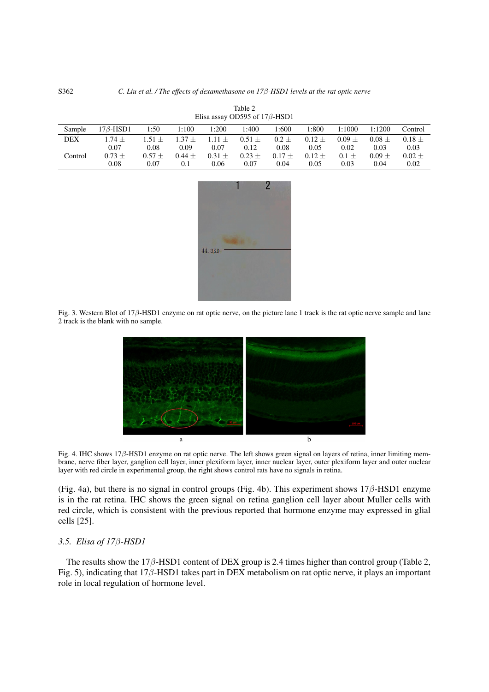<span id="page-5-2"></span>

| Sample  | $17\beta$ -HSD1 | 1:50     | 1:100    | 1:200    | l:400      | 1:600      | 1:800      | 1:1000   | 1:1200   | Control  |
|---------|-----------------|----------|----------|----------|------------|------------|------------|----------|----------|----------|
| DEX     | $1.74 +$        | $1.51 +$ | $1.37 +$ | $1.11 +$ | $0.51 \pm$ | $0.2 \pm$  | $0.12 \pm$ | $0.09 +$ | $0.08 +$ | $0.18 +$ |
|         | 0.07            | 0.08     | 0.09     | 0.07     | 0.12       | 0.08       | 0.05       | 0.02     | 0.03     | 0.03     |
| Control | $0.73 +$        | $0.57 +$ | $0.44 +$ | $0.31 +$ | $0.23 \pm$ | $0.17 \pm$ | $0.12 \pm$ | $0.1 +$  | $0.09 +$ | $0.02 +$ |
|         | 0.08            | 0.07     | 0.1      | 0.06     | 0.07       | 0.04       | 0.05       | 0.03     | 0.04     | 0.02     |

Table 2 Elisa assay OD595 of 17β-HSD1



<span id="page-5-0"></span>Fig. 3. Western Blot of 17 $\beta$ -HSD1 enzyme on rat optic nerve, on the picture lane 1 track is the rat optic nerve sample and lane 2 track is the blank with no sample.



<span id="page-5-1"></span>Fig. 4. IHC shows 17β-HSD1 enzyme on rat optic nerve. The left shows green signal on layers of retina, inner limiting membrane, nerve fiber layer, ganglion cell layer, inner plexiform layer, inner nuclear layer, outer plexiform layer and outer nuclear layer with red circle in experimental group, the right shows control rats have no signals in retina.

(Fig. [4a](#page-5-1)), but there is no signal in control groups (Fig. [4b](#page-5-1)). This experiment shows  $17\beta$ -HSD1 enzyme is in the rat retina. IHC shows the green signal on retina ganglion cell layer about Muller cells with red circle, which is consistent with the previous reported that hormone enzyme may expressed in glial cells [\[25\]](#page-8-9).

# *3.5. Elisa of 17*β*-HSD1*

The results show the 17 $\beta$ -HSD1 content of DEX group is 2.4 times higher than control group (Table [2,](#page-5-2) Fig. [5\)](#page-6-0), indicating that 17β-HSD1 takes part in DEX metabolism on rat optic nerve, it plays an important role in local regulation of hormone level.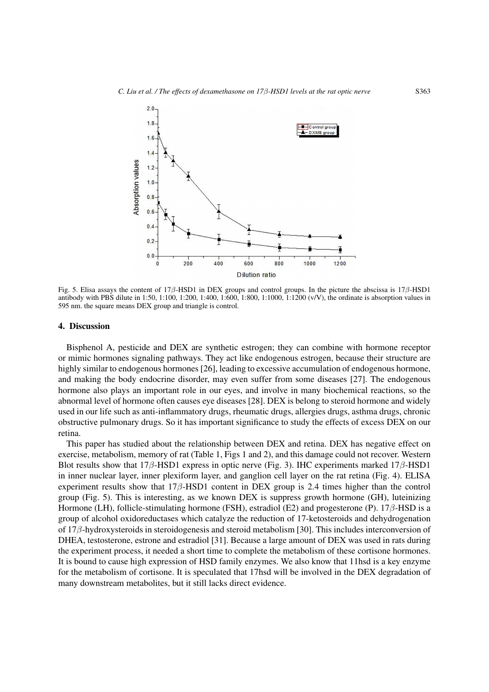

<span id="page-6-0"></span>Fig. 5. Elisa assays the content of 17β-HSD1 in DEX groups and control groups. In the picture the abscissa is 17β-HSD1 antibody with PBS dilute in 1:50, 1:100, 1:200, 1:400, 1:600, 1:800, 1:1000, 1:1200 (v/V), the ordinate is absorption values in 595 nm. the square means DEX group and triangle is control.

#### 4. Discussion

Bisphenol A, pesticide and DEX are synthetic estrogen; they can combine with hormone receptor or mimic hormones signaling pathways. They act like endogenous estrogen, because their structure are highly similar to endogenous hormones [\[26\]](#page-8-10), leading to excessive accumulation of endogenous hormone, and making the body endocrine disorder, may even suffer from some diseases [\[27\]](#page-8-11). The endogenous hormone also plays an important role in our eyes, and involve in many biochemical reactions, so the abnormal level of hormone often causes eye diseases [\[28\]](#page-8-12). DEX is belong to steroid hormone and widely used in our life such as anti-inflammatory drugs, rheumatic drugs, allergies drugs, asthma drugs, chronic obstructive pulmonary drugs. So it has important significance to study the effects of excess DEX on our retina.

This paper has studied about the relationship between DEX and retina. DEX has negative effect on exercise, metabolism, memory of rat (Table [1,](#page-3-0) Figs [1](#page-3-1) and [2\)](#page-4-0), and this damage could not recover. Western Blot results show that  $17\beta$ -HSD1 express in optic nerve (Fig. [3\)](#page-5-0). IHC experiments marked  $17\beta$ -HSD1 in inner nuclear layer, inner plexiform layer, and ganglion cell layer on the rat retina (Fig. [4\)](#page-5-1). ELISA experiment results show that  $17\beta$ -HSD1 content in DEX group is 2.4 times higher than the control group (Fig. [5\)](#page-6-0). This is interesting, as we known DEX is suppress growth hormone (GH), luteinizing Hormone (LH), follicle-stimulating hormone (FSH), estradiol (E2) and progesterone (P). 17β-HSD is a group of alcohol oxidoreductases which catalyze the reduction of 17-ketosteroids and dehydrogenation of 17β-hydroxysteroids in steroidogenesis and steroid metabolism [\[30\]](#page-8-13). This includes interconversion of DHEA, testosterone, estrone and estradiol [\[31\]](#page-8-14). Because a large amount of DEX was used in rats during the experiment process, it needed a short time to complete the metabolism of these cortisone hormones. It is bound to cause high expression of HSD family enzymes. We also know that 11hsd is a key enzyme for the metabolism of cortisone. It is speculated that 17hsd will be involved in the DEX degradation of many downstream metabolites, but it still lacks direct evidence.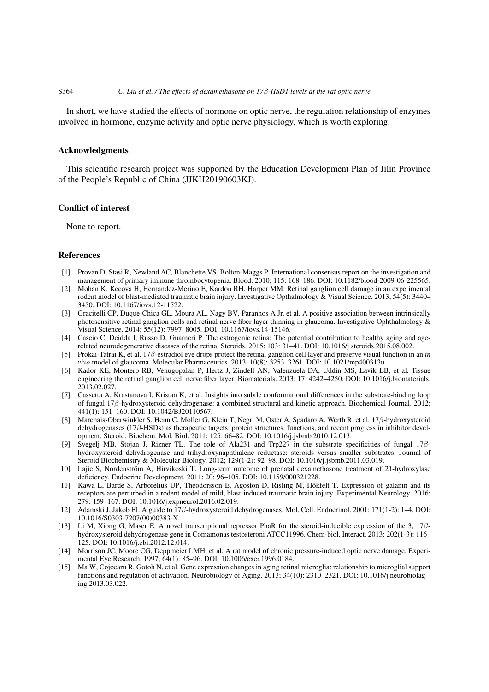#### S364 *C. Liu et al. / The effects of dexamethasone on 17*β*-HSD1 levels at the rat optic nerve*

In short, we have studied the effects of hormone on optic nerve, the regulation relationship of enzymes involved in hormone, enzyme activity and optic nerve physiology, which is worth exploring.

# Acknowledgments

This scientific research project was supported by the Education Development Plan of Jilin Province of the People's Republic of China (JJKH20190603KJ).

## Conflict of interest

None to report.

## References

- <span id="page-7-0"></span>[1] Provan D, Stasi R, Newland AC, Blanchette VS, Bolton-Maggs P. International consensus report on the investigation and management of primary immune thrombocytopenia. Blood. 2010; 115: 168–186. DOI: 10.1182/blood-2009-06-225565.
- <span id="page-7-1"></span>[2] Mohan K, Kecova H, Hernandez-Merino E, Kardon RH, Harper MM. Retinal ganglion cell damage in an experimental rodent model of blast-mediated traumatic brain injury. Investigative Opthalmology & Visual Science. 2013; 54(5): 3440– 3450. DOI: 10.1167/iovs.12-11522.
- <span id="page-7-2"></span>[3] Gracitelli CP, Duque-Chica GL, Moura AL, Nagy BV, Paranhos A Jr, et al. A positive association between intrinsically photosensitive retinal ganglion cells and retinal nerve fiber layer thinning in glaucoma. Investigative Ophthalmology & Visual Science. 2014; 55(12): 7997–8005. DOI: 10.1167/iovs.14-15146.
- <span id="page-7-3"></span>[4] Cascio C, Deidda I, Russo D, Guarneri P. The estrogenic retina: The potential contribution to healthy aging and agerelated neurodegenerative diseases of the retina. Steroids. 2015; 103: 31–41. DOI: 10.1016/j.steroids.2015.08.002.
- <span id="page-7-4"></span>[5] Prokai-Tatrai K, et al. 17β-estradiol eye drops protect the retinal ganglion cell layer and preserve visual function in an *in vivo* model of glaucoma. Molecular Pharmaceutics. 2013; 10(8): 3253–3261. DOI: 10.1021/mp400313u.
- <span id="page-7-5"></span>[6] Kador KE, Montero RB, Venugopalan P, Hertz J, Zindell AN, Valenzuela DA, Uddin MS, Lavik EB, et al. Tissue engineering the retinal ganglion cell nerve fiber layer. Biomaterials. 2013; 17: 4242–4250. DOI: 10.1016/j.biomaterials. 2013.02.027.
- <span id="page-7-6"></span>[7] Cassetta A, Krastanova I, Kristan K, et al. Insights into subtle conformational differences in the substrate-binding loop of fungal 17β-hydroxysteroid dehydrogenase: a combined structural and kinetic approach. Biochemical Journal. 2012; 441(1): 151–160. DOI: 10.1042/BJ20110567.
- <span id="page-7-7"></span>[8] Marchais-Oberwinkler S, Henn C, Möller G, Klein T, Negri M, Oster A, Spadaro A, Werth R, et al. 17β-hydroxysteroid dehydrogenases (17β-HSDs) as therapeutic targets: protein structures, functions, and recent progress in inhibitor development. Steroid. Biochem. Mol. Biol. 2011; 125: 66–82. DOI: 10.1016/j.jsbmb.2010.12.013.
- <span id="page-7-8"></span>[9] Svegelj MB, Stojan J, Rizner TL. The role of Ala231 and Trp227 in the substrate specificities of fungal 17βhydroxysteroid dehydrogenase and trihydroxynaphthalene reductase: steroids versus smaller substrates. Journal of Steroid Biochemistry & Molecular Biology. 2012; 129(1-2): 92–98. DOI: 10.1016/j.jsbmb.2011.03.019.
- <span id="page-7-9"></span>[10] Lajic S, Nordenström A, Hirvikoski T. Long-term outcome of prenatal dexamethasone treatment of 21-hydroxylase deficiency. Endocrine Development. 2011; 20: 96–105. DOI: 10.1159/000321228.
- <span id="page-7-10"></span>[11] Kawa L, Barde S, Arborelius UP, Theodorsson E, Agoston D, Risling M, Hökfelt T. Expression of galanin and its receptors are perturbed in a rodent model of mild, blast-induced traumatic brain injury. Experimental Neurology. 2016; 279: 159–167. DOI: 10.1016/j.expneurol.2016.02.019.
- <span id="page-7-11"></span>[12] Adamski J, Jakob FJ. A guide to 17β-hydroxysteroid dehydrogenases. Mol. Cell. Endocrinol. 2001; 171(1-2): 1–4. DOI: 10.1016/S0303-7207(00)00383-X.
- <span id="page-7-12"></span>[13] Li M, Xiong G, Maser E. A novel transcriptional repressor PhaR for the steroid-inducible expression of the 3, 17βhydroxysteroid dehydrogenase gene in Comamonas testosteroni ATCC11996. Chem-biol. Interact. 2013; 202(1-3): 116– 125. DOI: 10.1016/j.cbi.2012.12.014.
- <span id="page-7-13"></span>[14] Morrison JC, Moore CG, Deppmeier LMH, et al. A rat model of chronic pressure-induced optic nerve damage. Experimental Eye Research. 1997; 64(1): 85–96. DOI: 10.1006/exer.1996.0184.
- <span id="page-7-14"></span>[15] Ma W, Cojocaru R, Gotoh N, et al. Gene expression changes in aging retinal microglia: relationship to microglial support functions and regulation of activation. Neurobiology of Aging. 2013; 34(10): 2310–2321. DOI: 10.1016/j.neurobiolag ing.2013.03.022.